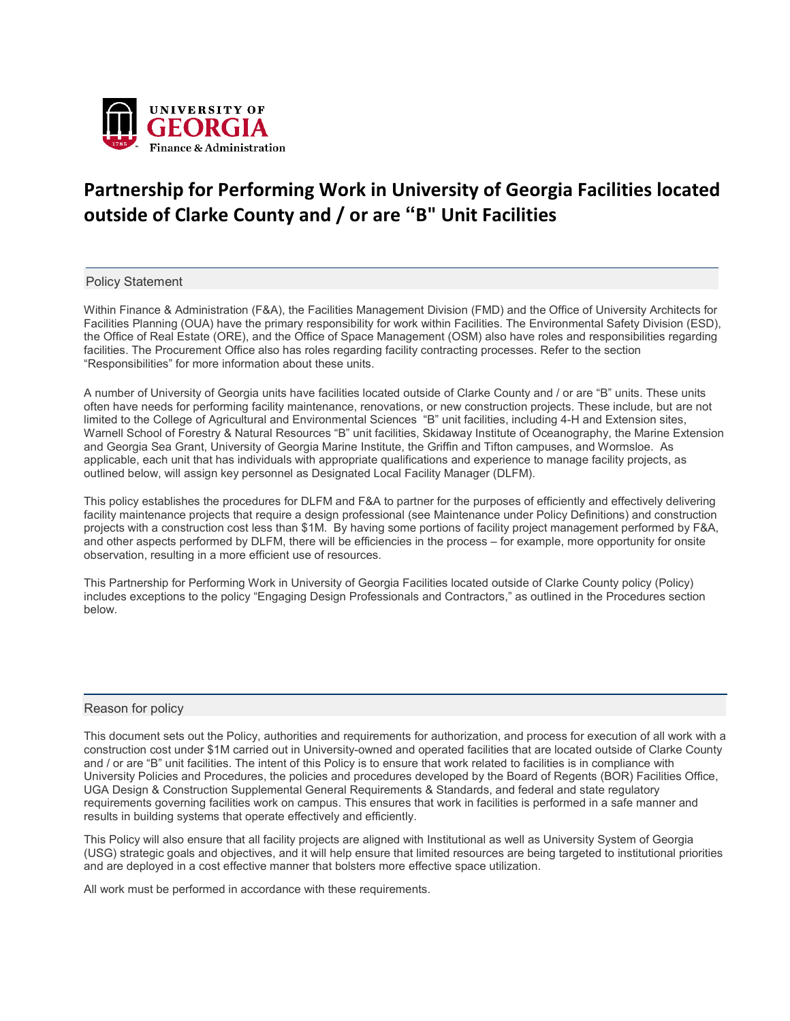

# **Partnership for Performing Work in University of Georgia Facilities located outside of Clarke County and / or are "B" Unit Facilities**

### Policy Statement

Within Finance & Administration (F&A), the Facilities Management Division (FMD) and the Office of University Architects for Facilities Planning (OUA) have the primary responsibility for work within Facilities. The Environmental Safety Division (ESD), the Office of Real Estate (ORE), and the Office of Space Management (OSM) also have roles and responsibilities regarding facilities. The Procurement Office also has roles regarding facility contracting processes. Refer to the section "Responsibilities" for more information about these units.

A number of University of Georgia units have facilities located outside of Clarke County and / or are "B" units. These units often have needs for performing facility maintenance, renovations, or new construction projects. These include, but are not limited to the College of Agricultural and Environmental Sciences "B" unit facilities, including 4-H and Extension sites, Warnell School of Forestry & Natural Resources "B" unit facilities, Skidaway Institute of Oceanography, the Marine Extension and Georgia Sea Grant, University of Georgia Marine Institute, the Griffin and Tifton campuses, and Wormsloe. As applicable, each unit that has individuals with appropriate qualifications and experience to manage facility projects, as outlined below, will assign key personnel as Designated Local Facility Manager (DLFM).

This policy establishes the procedures for DLFM and F&A to partner for the purposes of efficiently and effectively delivering facility maintenance projects that require a design professional (see Maintenance under Policy Definitions) and construction projects with a construction cost less than \$1M. By having some portions of facility project management performed by F&A, and other aspects performed by DLFM, there will be efficiencies in the process – for example, more opportunity for onsite observation, resulting in a more efficient use of resources.

This Partnership for Performing Work in University of Georgia Facilities located outside of Clarke County policy (Policy) includes exceptions to the policy "Engaging Design Professionals and Contractors," as outlined in the Procedures section below.

### Reason for policy

This document sets out the Policy, authorities and requirements for authorization, and process for execution of all work with a construction cost under \$1M carried out in University-owned and operated facilities that are located outside of Clarke County and / or are "B" unit facilities. The intent of this Policy is to ensure that work related to facilities is in compliance with University Policies and Procedures, the policies and procedures developed by the Board of Regents (BOR) Facilities Office, UGA Design & Construction Supplemental General Requirements & Standards, and federal and state regulatory requirements governing facilities work on campus. This ensures that work in facilities is performed in a safe manner and results in building systems that operate effectively and efficiently.

This Policy will also ensure that all facility projects are aligned with Institutional as well as University System of Georgia (USG) strategic goals and objectives, and it will help ensure that limited resources are being targeted to institutional priorities and are deployed in a cost effective manner that bolsters more effective space utilization.

All work must be performed in accordance with these requirements.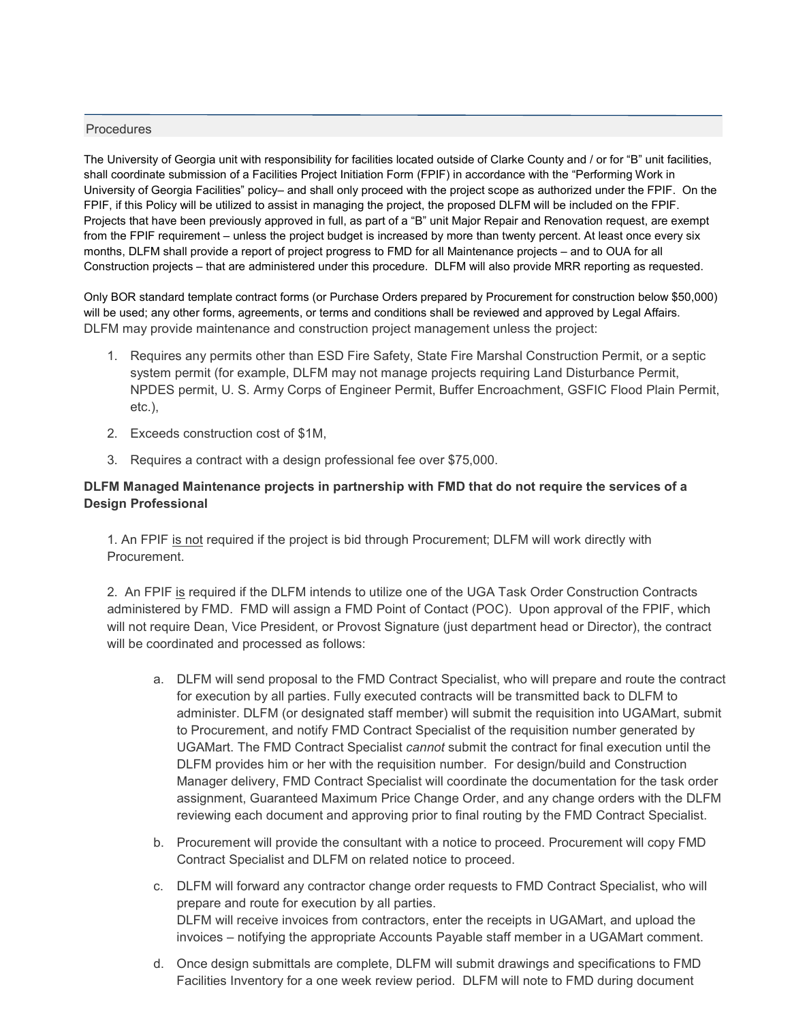# Procedures

The University of Georgia unit with responsibility for facilities located outside of Clarke County and / or for "B" unit facilities, shall coordinate submission of a Facilities Project Initiation Form (FPIF) in accordance with the "Performing Work in University of Georgia Facilities" policy– and shall only proceed with the project scope as authorized under the FPIF. On the FPIF, if this Policy will be utilized to assist in managing the project, the proposed DLFM will be included on the FPIF. Projects that have been previously approved in full, as part of a "B" unit Major Repair and Renovation request, are exempt from the FPIF requirement – unless the project budget is increased by more than twenty percent. At least once every six months, DLFM shall provide a report of project progress to FMD for all Maintenance projects – and to OUA for all Construction projects – that are administered under this procedure. DLFM will also provide MRR reporting as requested.

Only BOR standard template contract forms (or Purchase Orders prepared by Procurement for construction below \$50,000) will be used; any other forms, agreements, or terms and conditions shall be reviewed and approved by Legal Affairs. DLFM may provide maintenance and construction project management unless the project:

- 1. Requires any permits other than ESD Fire Safety, State Fire Marshal Construction Permit, or a septic system permit (for example, DLFM may not manage projects requiring Land Disturbance Permit, NPDES permit, U. S. Army Corps of Engineer Permit, Buffer Encroachment, GSFIC Flood Plain Permit, etc.),
- 2. Exceeds construction cost of \$1M,
- 3. Requires a contract with a design professional fee over \$75,000.

# **DLFM Managed Maintenance projects in partnership with FMD that do not require the services of a Design Professional**

1. An FPIF is not required if the project is bid through Procurement; DLFM will work directly with **Procurement** 

2. An FPIF is required if the DLFM intends to utilize one of the UGA Task Order Construction Contracts administered by FMD. FMD will assign a FMD Point of Contact (POC). Upon approval of the FPIF, which will not require Dean, Vice President, or Provost Signature (just department head or Director), the contract will be coordinated and processed as follows:

- a. DLFM will send proposal to the FMD Contract Specialist, who will prepare and route the contract for execution by all parties. Fully executed contracts will be transmitted back to DLFM to administer. DLFM (or designated staff member) will submit the requisition into UGAMart, submit to Procurement, and notify FMD Contract Specialist of the requisition number generated by UGAMart. The FMD Contract Specialist *cannot* submit the contract for final execution until the DLFM provides him or her with the requisition number. For design/build and Construction Manager delivery, FMD Contract Specialist will coordinate the documentation for the task order assignment, Guaranteed Maximum Price Change Order, and any change orders with the DLFM reviewing each document and approving prior to final routing by the FMD Contract Specialist.
- b. Procurement will provide the consultant with a notice to proceed. Procurement will copy FMD Contract Specialist and DLFM on related notice to proceed.
- c. DLFM will forward any contractor change order requests to FMD Contract Specialist, who will prepare and route for execution by all parties. DLFM will receive invoices from contractors, enter the receipts in UGAMart, and upload the invoices – notifying the appropriate Accounts Payable staff member in a UGAMart comment.
- d. Once design submittals are complete, DLFM will submit drawings and specifications to FMD Facilities Inventory for a one week review period. DLFM will note to FMD during document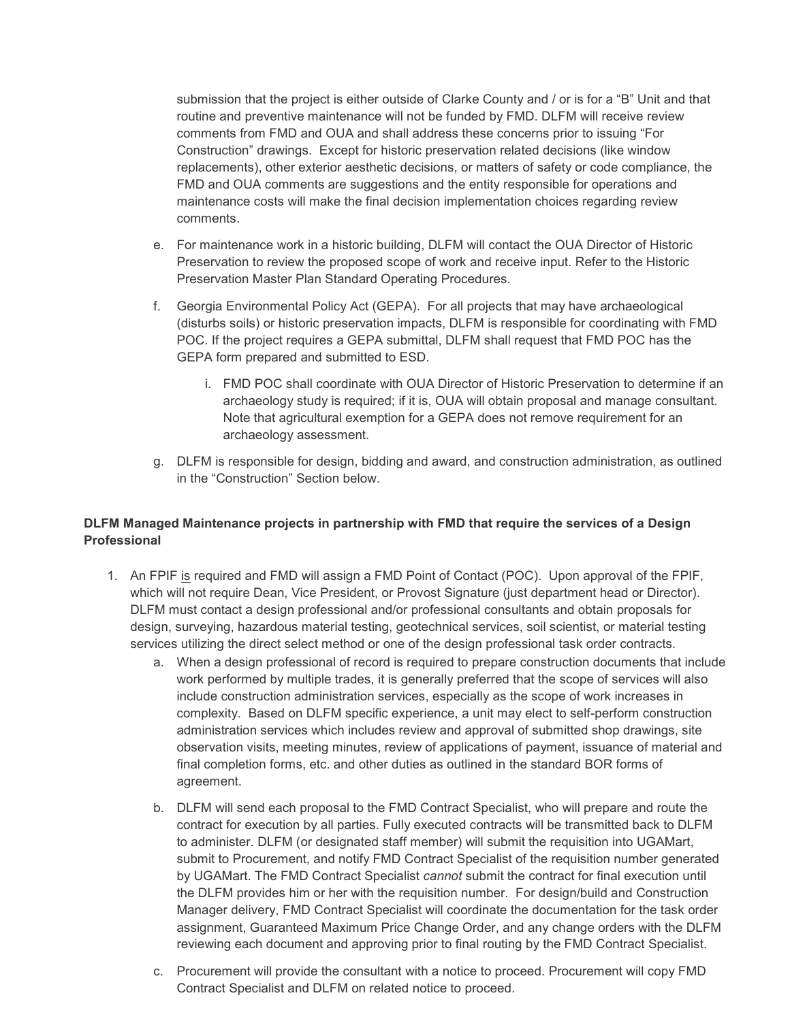submission that the project is either outside of Clarke County and / or is for a "B" Unit and that routine and preventive maintenance will not be funded by FMD. DLFM will receive review comments from FMD and OUA and shall address these concerns prior to issuing "For Construction" drawings. Except for historic preservation related decisions (like window replacements), other exterior aesthetic decisions, or matters of safety or code compliance, the FMD and OUA comments are suggestions and the entity responsible for operations and maintenance costs will make the final decision implementation choices regarding review comments.

- e. For maintenance work in a historic building, DLFM will contact the OUA Director of Historic Preservation to review the proposed scope of work and receive input. Refer to the Historic Preservation Master Plan Standard Operating Procedures.
- f. Georgia Environmental Policy Act (GEPA). For all projects that may have archaeological (disturbs soils) or historic preservation impacts, DLFM is responsible for coordinating with FMD POC. If the project requires a GEPA submittal, DLFM shall request that FMD POC has the GEPA form prepared and submitted to ESD.
	- i. FMD POC shall coordinate with OUA Director of Historic Preservation to determine if an archaeology study is required; if it is, OUA will obtain proposal and manage consultant. Note that agricultural exemption for a GEPA does not remove requirement for an archaeology assessment.
- g. DLFM is responsible for design, bidding and award, and construction administration, as outlined in the "Construction" Section below.

# **DLFM Managed Maintenance projects in partnership with FMD that require the services of a Design Professional**

- 1. An FPIF is required and FMD will assign a FMD Point of Contact (POC). Upon approval of the FPIF, which will not require Dean, Vice President, or Provost Signature (just department head or Director). DLFM must contact a design professional and/or professional consultants and obtain proposals for design, surveying, hazardous material testing, geotechnical services, soil scientist, or material testing services utilizing the direct select method or one of the design professional task order contracts.
	- a. When a design professional of record is required to prepare construction documents that include work performed by multiple trades, it is generally preferred that the scope of services will also include construction administration services, especially as the scope of work increases in complexity. Based on DLFM specific experience, a unit may elect to self-perform construction administration services which includes review and approval of submitted shop drawings, site observation visits, meeting minutes, review of applications of payment, issuance of material and final completion forms, etc. and other duties as outlined in the standard BOR forms of agreement.
	- b. DLFM will send each proposal to the FMD Contract Specialist, who will prepare and route the contract for execution by all parties. Fully executed contracts will be transmitted back to DLFM to administer. DLFM (or designated staff member) will submit the requisition into UGAMart, submit to Procurement, and notify FMD Contract Specialist of the requisition number generated by UGAMart. The FMD Contract Specialist *cannot* submit the contract for final execution until the DLFM provides him or her with the requisition number. For design/build and Construction Manager delivery, FMD Contract Specialist will coordinate the documentation for the task order assignment, Guaranteed Maximum Price Change Order, and any change orders with the DLFM reviewing each document and approving prior to final routing by the FMD Contract Specialist.
	- c. Procurement will provide the consultant with a notice to proceed. Procurement will copy FMD Contract Specialist and DLFM on related notice to proceed.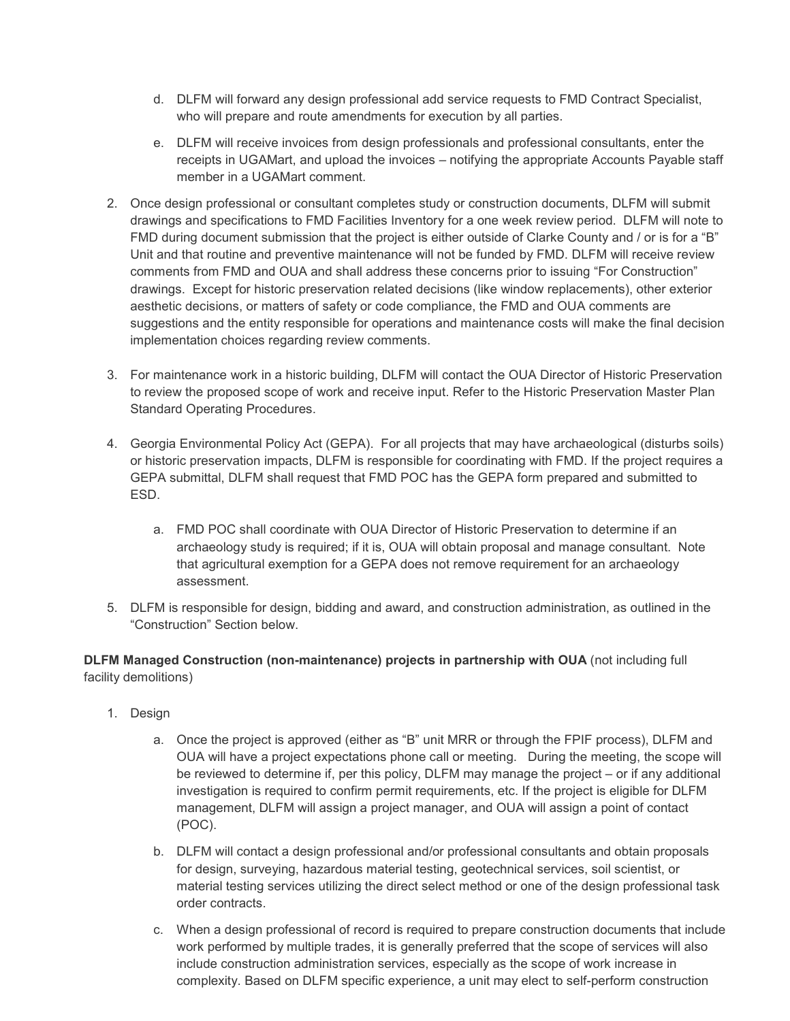- d. DLFM will forward any design professional add service requests to FMD Contract Specialist, who will prepare and route amendments for execution by all parties.
- e. DLFM will receive invoices from design professionals and professional consultants, enter the receipts in UGAMart, and upload the invoices – notifying the appropriate Accounts Payable staff member in a UGAMart comment.
- 2. Once design professional or consultant completes study or construction documents, DLFM will submit drawings and specifications to FMD Facilities Inventory for a one week review period. DLFM will note to FMD during document submission that the project is either outside of Clarke County and / or is for a "B" Unit and that routine and preventive maintenance will not be funded by FMD. DLFM will receive review comments from FMD and OUA and shall address these concerns prior to issuing "For Construction" drawings. Except for historic preservation related decisions (like window replacements), other exterior aesthetic decisions, or matters of safety or code compliance, the FMD and OUA comments are suggestions and the entity responsible for operations and maintenance costs will make the final decision implementation choices regarding review comments.
- 3. For maintenance work in a historic building, DLFM will contact the OUA Director of Historic Preservation to review the proposed scope of work and receive input. Refer to the Historic Preservation Master Plan Standard Operating Procedures.
- 4. Georgia Environmental Policy Act (GEPA). For all projects that may have archaeological (disturbs soils) or historic preservation impacts, DLFM is responsible for coordinating with FMD. If the project requires a GEPA submittal, DLFM shall request that FMD POC has the GEPA form prepared and submitted to ESD.
	- a. FMD POC shall coordinate with OUA Director of Historic Preservation to determine if an archaeology study is required; if it is, OUA will obtain proposal and manage consultant. Note that agricultural exemption for a GEPA does not remove requirement for an archaeology assessment.
- 5. DLFM is responsible for design, bidding and award, and construction administration, as outlined in the "Construction" Section below.

**DLFM Managed Construction (non-maintenance) projects in partnership with OUA** (not including full facility demolitions)

- 1. Design
	- a. Once the project is approved (either as "B" unit MRR or through the FPIF process), DLFM and OUA will have a project expectations phone call or meeting. During the meeting, the scope will be reviewed to determine if, per this policy, DLFM may manage the project – or if any additional investigation is required to confirm permit requirements, etc. If the project is eligible for DLFM management, DLFM will assign a project manager, and OUA will assign a point of contact (POC).
	- b. DLFM will contact a design professional and/or professional consultants and obtain proposals for design, surveying, hazardous material testing, geotechnical services, soil scientist, or material testing services utilizing the direct select method or one of the design professional task order contracts.
	- c. When a design professional of record is required to prepare construction documents that include work performed by multiple trades, it is generally preferred that the scope of services will also include construction administration services, especially as the scope of work increase in complexity. Based on DLFM specific experience, a unit may elect to self-perform construction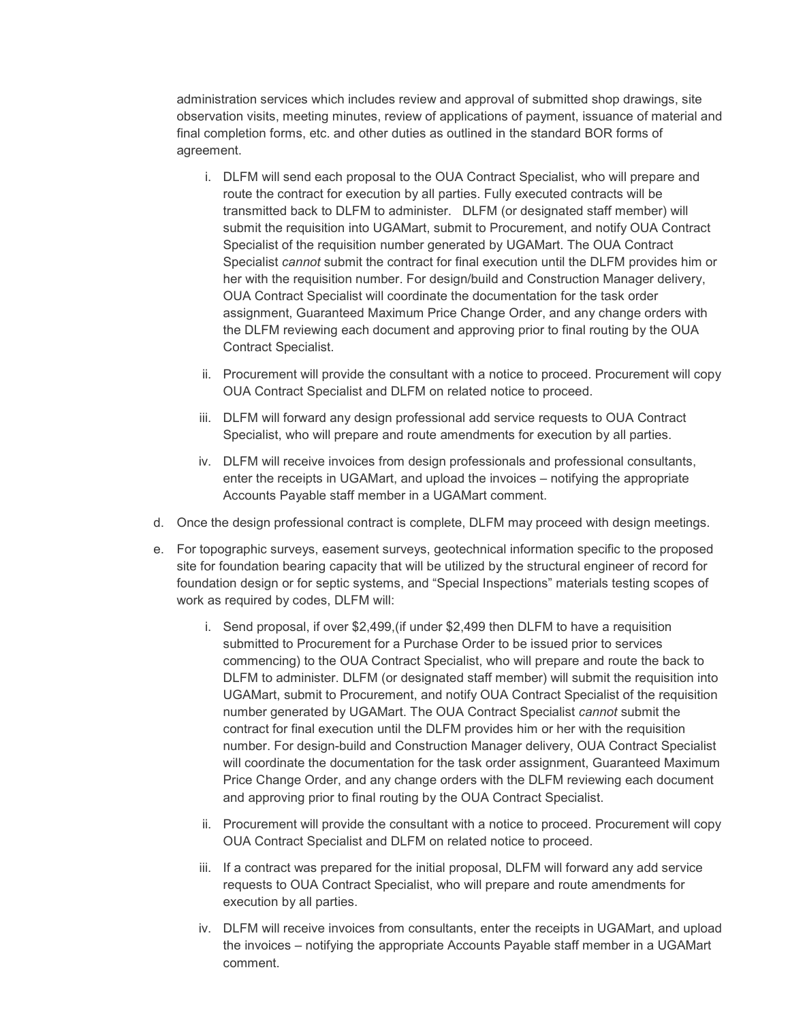administration services which includes review and approval of submitted shop drawings, site observation visits, meeting minutes, review of applications of payment, issuance of material and final completion forms, etc. and other duties as outlined in the standard BOR forms of agreement.

- i. DLFM will send each proposal to the OUA Contract Specialist, who will prepare and route the contract for execution by all parties. Fully executed contracts will be transmitted back to DLFM to administer. DLFM (or designated staff member) will submit the requisition into UGAMart, submit to Procurement, and notify OUA Contract Specialist of the requisition number generated by UGAMart. The OUA Contract Specialist *cannot* submit the contract for final execution until the DLFM provides him or her with the requisition number. For design/build and Construction Manager delivery, OUA Contract Specialist will coordinate the documentation for the task order assignment, Guaranteed Maximum Price Change Order, and any change orders with the DLFM reviewing each document and approving prior to final routing by the OUA Contract Specialist.
- ii. Procurement will provide the consultant with a notice to proceed. Procurement will copy OUA Contract Specialist and DLFM on related notice to proceed.
- iii. DLFM will forward any design professional add service requests to OUA Contract Specialist, who will prepare and route amendments for execution by all parties.
- iv. DLFM will receive invoices from design professionals and professional consultants, enter the receipts in UGAMart, and upload the invoices – notifying the appropriate Accounts Payable staff member in a UGAMart comment.
- d. Once the design professional contract is complete, DLFM may proceed with design meetings.
- e. For topographic surveys, easement surveys, geotechnical information specific to the proposed site for foundation bearing capacity that will be utilized by the structural engineer of record for foundation design or for septic systems, and "Special Inspections" materials testing scopes of work as required by codes, DLFM will:
	- i. Send proposal, if over \$2,499,(if under \$2,499 then DLFM to have a requisition submitted to Procurement for a Purchase Order to be issued prior to services commencing) to the OUA Contract Specialist, who will prepare and route the back to DLFM to administer. DLFM (or designated staff member) will submit the requisition into UGAMart, submit to Procurement, and notify OUA Contract Specialist of the requisition number generated by UGAMart. The OUA Contract Specialist *cannot* submit the contract for final execution until the DLFM provides him or her with the requisition number. For design-build and Construction Manager delivery, OUA Contract Specialist will coordinate the documentation for the task order assignment, Guaranteed Maximum Price Change Order, and any change orders with the DLFM reviewing each document and approving prior to final routing by the OUA Contract Specialist.
	- ii. Procurement will provide the consultant with a notice to proceed. Procurement will copy OUA Contract Specialist and DLFM on related notice to proceed.
	- iii. If a contract was prepared for the initial proposal, DLFM will forward any add service requests to OUA Contract Specialist, who will prepare and route amendments for execution by all parties.
	- iv. DLFM will receive invoices from consultants, enter the receipts in UGAMart, and upload the invoices – notifying the appropriate Accounts Payable staff member in a UGAMart comment.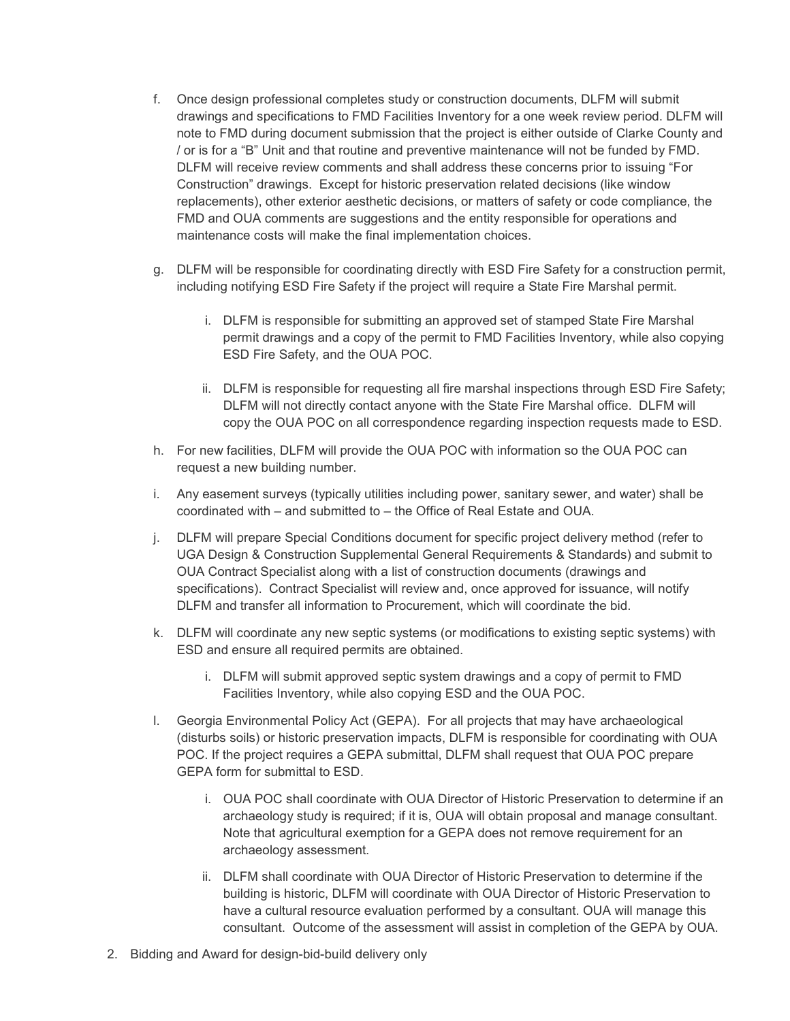- f. Once design professional completes study or construction documents, DLFM will submit drawings and specifications to FMD Facilities Inventory for a one week review period. DLFM will note to FMD during document submission that the project is either outside of Clarke County and / or is for a "B" Unit and that routine and preventive maintenance will not be funded by FMD. DLFM will receive review comments and shall address these concerns prior to issuing "For Construction" drawings. Except for historic preservation related decisions (like window replacements), other exterior aesthetic decisions, or matters of safety or code compliance, the FMD and OUA comments are suggestions and the entity responsible for operations and maintenance costs will make the final implementation choices.
- g. DLFM will be responsible for coordinating directly with ESD Fire Safety for a construction permit, including notifying ESD Fire Safety if the project will require a State Fire Marshal permit.
	- i. DLFM is responsible for submitting an approved set of stamped State Fire Marshal permit drawings and a copy of the permit to FMD Facilities Inventory, while also copying ESD Fire Safety, and the OUA POC.
	- ii. DLFM is responsible for requesting all fire marshal inspections through ESD Fire Safety; DLFM will not directly contact anyone with the State Fire Marshal office. DLFM will copy the OUA POC on all correspondence regarding inspection requests made to ESD.
- h. For new facilities, DLFM will provide the OUA POC with information so the OUA POC can request a new building number.
- i. Any easement surveys (typically utilities including power, sanitary sewer, and water) shall be coordinated with – and submitted to – the Office of Real Estate and OUA.
- j. DLFM will prepare Special Conditions document for specific project delivery method (refer to UGA Design & Construction Supplemental General Requirements & Standards) and submit to OUA Contract Specialist along with a list of construction documents (drawings and specifications). Contract Specialist will review and, once approved for issuance, will notify DLFM and transfer all information to Procurement, which will coordinate the bid.
- k. DLFM will coordinate any new septic systems (or modifications to existing septic systems) with ESD and ensure all required permits are obtained.
	- i. DLFM will submit approved septic system drawings and a copy of permit to FMD Facilities Inventory, while also copying ESD and the OUA POC.
- l. Georgia Environmental Policy Act (GEPA). For all projects that may have archaeological (disturbs soils) or historic preservation impacts, DLFM is responsible for coordinating with OUA POC. If the project requires a GEPA submittal, DLFM shall request that OUA POC prepare GEPA form for submittal to ESD.
	- i. OUA POC shall coordinate with OUA Director of Historic Preservation to determine if an archaeology study is required; if it is, OUA will obtain proposal and manage consultant. Note that agricultural exemption for a GEPA does not remove requirement for an archaeology assessment.
	- ii. DLFM shall coordinate with OUA Director of Historic Preservation to determine if the building is historic, DLFM will coordinate with OUA Director of Historic Preservation to have a cultural resource evaluation performed by a consultant. OUA will manage this consultant. Outcome of the assessment will assist in completion of the GEPA by OUA.
- 2. Bidding and Award for design-bid-build delivery only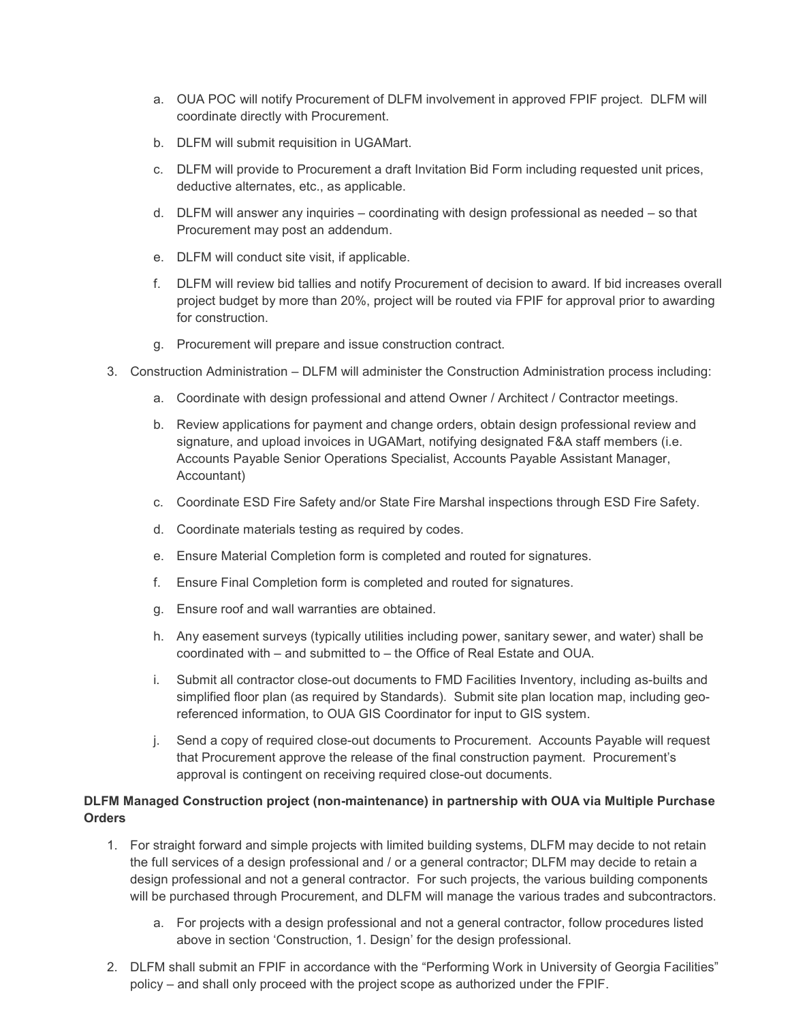- a. OUA POC will notify Procurement of DLFM involvement in approved FPIF project. DLFM will coordinate directly with Procurement.
- b. DLFM will submit requisition in UGAMart.
- c. DLFM will provide to Procurement a draft Invitation Bid Form including requested unit prices, deductive alternates, etc., as applicable.
- d. DLFM will answer any inquiries coordinating with design professional as needed so that Procurement may post an addendum.
- e. DLFM will conduct site visit, if applicable.
- f. DLFM will review bid tallies and notify Procurement of decision to award. If bid increases overall project budget by more than 20%, project will be routed via FPIF for approval prior to awarding for construction.
- g. Procurement will prepare and issue construction contract.
- 3. Construction Administration DLFM will administer the Construction Administration process including:
	- a. Coordinate with design professional and attend Owner / Architect / Contractor meetings.
	- b. Review applications for payment and change orders, obtain design professional review and signature, and upload invoices in UGAMart, notifying designated F&A staff members (i.e. Accounts Payable Senior Operations Specialist, Accounts Payable Assistant Manager, Accountant)
	- c. Coordinate ESD Fire Safety and/or State Fire Marshal inspections through ESD Fire Safety.
	- d. Coordinate materials testing as required by codes.
	- e. Ensure Material Completion form is completed and routed for signatures.
	- f. Ensure Final Completion form is completed and routed for signatures.
	- g. Ensure roof and wall warranties are obtained.
	- h. Any easement surveys (typically utilities including power, sanitary sewer, and water) shall be coordinated with – and submitted to – the Office of Real Estate and OUA.
	- i. Submit all contractor close-out documents to FMD Facilities Inventory, including as-builts and simplified floor plan (as required by Standards). Submit site plan location map, including georeferenced information, to OUA GIS Coordinator for input to GIS system.
	- j. Send a copy of required close-out documents to Procurement. Accounts Payable will request that Procurement approve the release of the final construction payment. Procurement's approval is contingent on receiving required close-out documents.

# **DLFM Managed Construction project (non-maintenance) in partnership with OUA via Multiple Purchase Orders**

- 1. For straight forward and simple projects with limited building systems, DLFM may decide to not retain the full services of a design professional and / or a general contractor; DLFM may decide to retain a design professional and not a general contractor. For such projects, the various building components will be purchased through Procurement, and DLFM will manage the various trades and subcontractors.
	- a. For projects with a design professional and not a general contractor, follow procedures listed above in section 'Construction, 1. Design' for the design professional.
- 2. DLFM shall submit an FPIF in accordance with the "Performing Work in University of Georgia Facilities" policy – and shall only proceed with the project scope as authorized under the FPIF.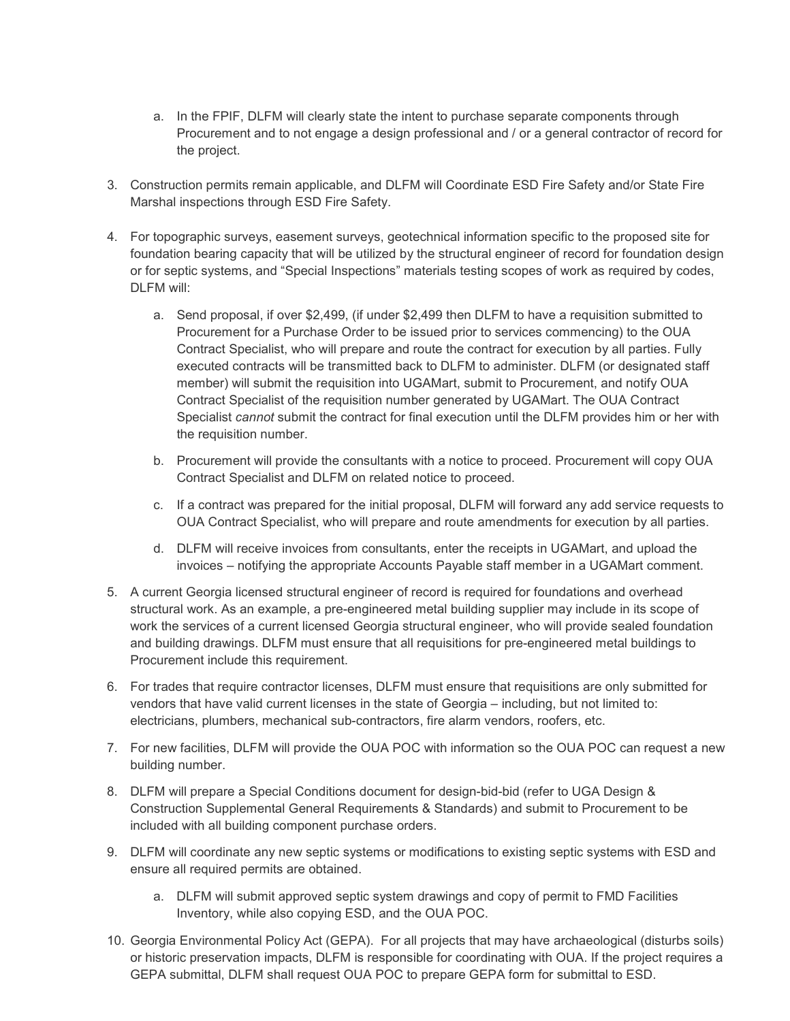- a. In the FPIF, DLFM will clearly state the intent to purchase separate components through Procurement and to not engage a design professional and / or a general contractor of record for the project.
- 3. Construction permits remain applicable, and DLFM will Coordinate ESD Fire Safety and/or State Fire Marshal inspections through ESD Fire Safety.
- 4. For topographic surveys, easement surveys, geotechnical information specific to the proposed site for foundation bearing capacity that will be utilized by the structural engineer of record for foundation design or for septic systems, and "Special Inspections" materials testing scopes of work as required by codes, DLFM will:
	- a. Send proposal, if over \$2,499, (if under \$2,499 then DLFM to have a requisition submitted to Procurement for a Purchase Order to be issued prior to services commencing) to the OUA Contract Specialist, who will prepare and route the contract for execution by all parties. Fully executed contracts will be transmitted back to DLFM to administer. DLFM (or designated staff member) will submit the requisition into UGAMart, submit to Procurement, and notify OUA Contract Specialist of the requisition number generated by UGAMart. The OUA Contract Specialist *cannot* submit the contract for final execution until the DLFM provides him or her with the requisition number.
	- b. Procurement will provide the consultants with a notice to proceed. Procurement will copy OUA Contract Specialist and DLFM on related notice to proceed.
	- c. If a contract was prepared for the initial proposal, DLFM will forward any add service requests to OUA Contract Specialist, who will prepare and route amendments for execution by all parties.
	- d. DLFM will receive invoices from consultants, enter the receipts in UGAMart, and upload the invoices – notifying the appropriate Accounts Payable staff member in a UGAMart comment.
- 5. A current Georgia licensed structural engineer of record is required for foundations and overhead structural work. As an example, a pre-engineered metal building supplier may include in its scope of work the services of a current licensed Georgia structural engineer, who will provide sealed foundation and building drawings. DLFM must ensure that all requisitions for pre-engineered metal buildings to Procurement include this requirement.
- 6. For trades that require contractor licenses, DLFM must ensure that requisitions are only submitted for vendors that have valid current licenses in the state of Georgia – including, but not limited to: electricians, plumbers, mechanical sub-contractors, fire alarm vendors, roofers, etc.
- 7. For new facilities, DLFM will provide the OUA POC with information so the OUA POC can request a new building number.
- 8. DLFM will prepare a Special Conditions document for design-bid-bid (refer to UGA Design & Construction Supplemental General Requirements & Standards) and submit to Procurement to be included with all building component purchase orders.
- 9. DLFM will coordinate any new septic systems or modifications to existing septic systems with ESD and ensure all required permits are obtained.
	- a. DLFM will submit approved septic system drawings and copy of permit to FMD Facilities Inventory, while also copying ESD, and the OUA POC.
- 10. Georgia Environmental Policy Act (GEPA). For all projects that may have archaeological (disturbs soils) or historic preservation impacts, DLFM is responsible for coordinating with OUA. If the project requires a GEPA submittal, DLFM shall request OUA POC to prepare GEPA form for submittal to ESD.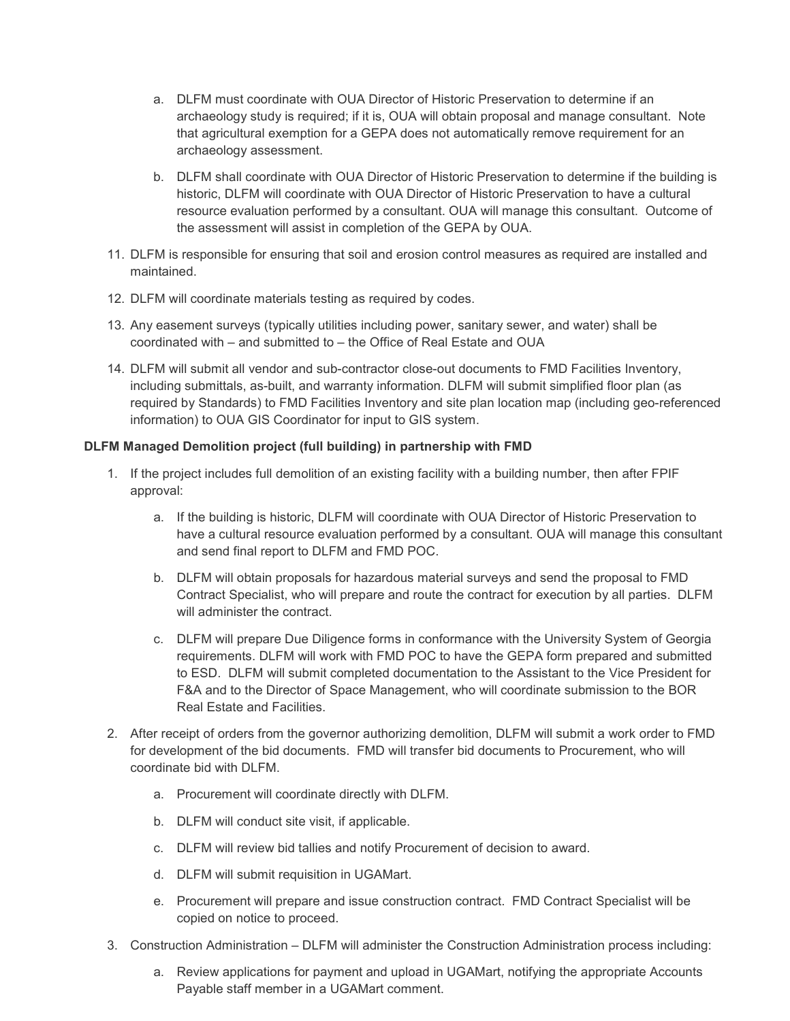- a. DLFM must coordinate with OUA Director of Historic Preservation to determine if an archaeology study is required; if it is, OUA will obtain proposal and manage consultant. Note that agricultural exemption for a GEPA does not automatically remove requirement for an archaeology assessment.
- b. DLFM shall coordinate with OUA Director of Historic Preservation to determine if the building is historic, DLFM will coordinate with OUA Director of Historic Preservation to have a cultural resource evaluation performed by a consultant. OUA will manage this consultant. Outcome of the assessment will assist in completion of the GEPA by OUA.
- 11. DLFM is responsible for ensuring that soil and erosion control measures as required are installed and maintained.
- 12. DLFM will coordinate materials testing as required by codes.
- 13. Any easement surveys (typically utilities including power, sanitary sewer, and water) shall be coordinated with – and submitted to – the Office of Real Estate and OUA
- 14. DLFM will submit all vendor and sub-contractor close-out documents to FMD Facilities Inventory, including submittals, as-built, and warranty information. DLFM will submit simplified floor plan (as required by Standards) to FMD Facilities Inventory and site plan location map (including geo-referenced information) to OUA GIS Coordinator for input to GIS system.

# **DLFM Managed Demolition project (full building) in partnership with FMD**

- 1. If the project includes full demolition of an existing facility with a building number, then after FPIF approval:
	- a. If the building is historic, DLFM will coordinate with OUA Director of Historic Preservation to have a cultural resource evaluation performed by a consultant. OUA will manage this consultant and send final report to DLFM and FMD POC.
	- b. DLFM will obtain proposals for hazardous material surveys and send the proposal to FMD Contract Specialist, who will prepare and route the contract for execution by all parties. DLFM will administer the contract.
	- c. DLFM will prepare Due Diligence forms in conformance with the University System of Georgia requirements. DLFM will work with FMD POC to have the GEPA form prepared and submitted to ESD. DLFM will submit completed documentation to the Assistant to the Vice President for F&A and to the Director of Space Management, who will coordinate submission to the BOR Real Estate and Facilities.
- 2. After receipt of orders from the governor authorizing demolition, DLFM will submit a work order to FMD for development of the bid documents. FMD will transfer bid documents to Procurement, who will coordinate bid with DLFM.
	- a. Procurement will coordinate directly with DLFM.
	- b. DLFM will conduct site visit, if applicable.
	- c. DLFM will review bid tallies and notify Procurement of decision to award.
	- d. DLFM will submit requisition in UGAMart.
	- e. Procurement will prepare and issue construction contract. FMD Contract Specialist will be copied on notice to proceed.
- 3. Construction Administration DLFM will administer the Construction Administration process including:
	- a. Review applications for payment and upload in UGAMart, notifying the appropriate Accounts Payable staff member in a UGAMart comment.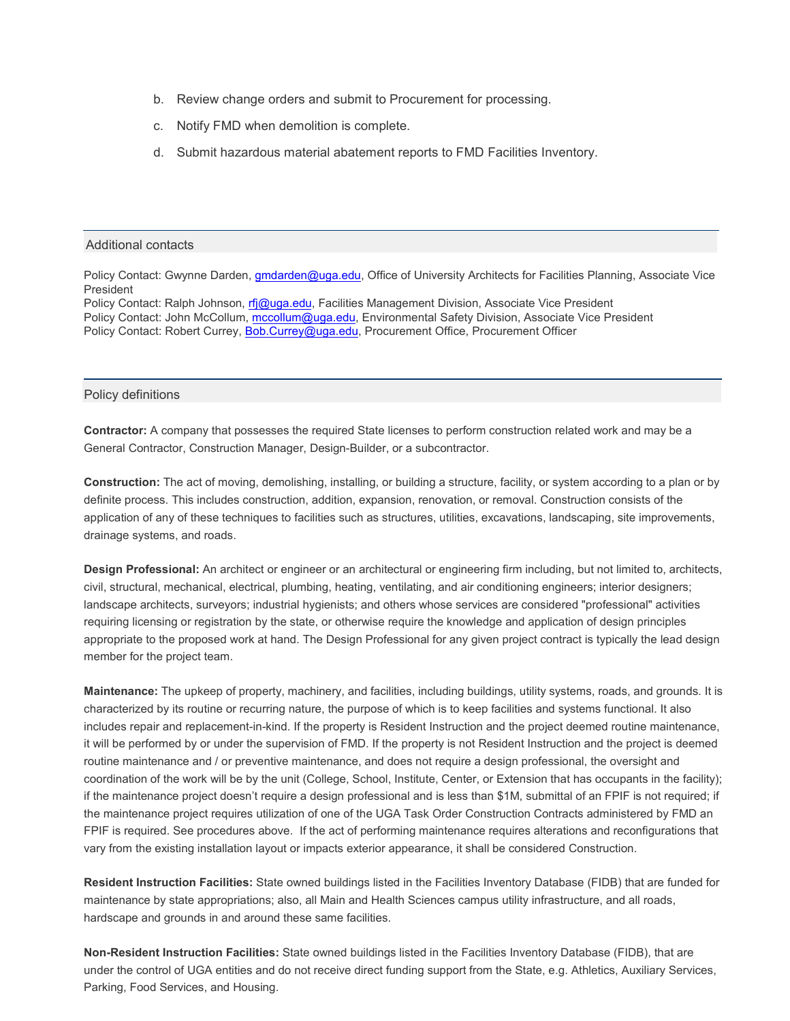- b. Review change orders and submit to Procurement for processing.
- c. Notify FMD when demolition is complete.
- d. Submit hazardous material abatement reports to FMD Facilities Inventory.

#### Additional contacts

Policy Contact: Gwynne Darden, [gmdarden@uga.edu,](mailto:gmdarden@uga.edu) Office of University Architects for Facilities Planning, Associate Vice President

Policy Contact: Ralph Johnson, [rfj@uga.edu,](mailto:rfj@uga.edu) Facilities Management Division, Associate Vice President Policy Contact: John McCollum, [mccollum@uga.edu,](mailto:mccollum@uga.edu) Environmental Safety Division, Associate Vice President Policy Contact: Robert Currey, [Bob.Currey](mailto:Bob.Currey@uga.edu)@uga.edu, Procurement Office, Procurement Officer

#### Policy definitions

**Contractor:** A company that possesses the required State licenses to perform construction related work and may be a General Contractor, Construction Manager, Design-Builder, or a subcontractor.

**Construction:** The act of moving, demolishing, installing, or building a structure, facility, or system according to a plan or by definite process. This includes construction, addition, expansion, renovation, or removal. Construction consists of the application of any of these techniques to facilities such as structures, utilities, excavations, landscaping, site improvements, drainage systems, and roads.

**Design Professional:** An architect or engineer or an architectural or engineering firm including, but not limited to, architects, civil, structural, mechanical, electrical, plumbing, heating, ventilating, and air conditioning engineers; interior designers; landscape architects, surveyors; industrial hygienists; and others whose services are considered "professional" activities requiring licensing or registration by the state, or otherwise require the knowledge and application of design principles appropriate to the proposed work at hand. The Design Professional for any given project contract is typically the lead design member for the project team.

**Maintenance:** The upkeep of property, machinery, and facilities, including buildings, utility systems, roads, and grounds. It is characterized by its routine or recurring nature, the purpose of which is to keep facilities and systems functional. It also includes repair and replacement-in-kind. If the property is Resident Instruction and the project deemed routine maintenance, it will be performed by or under the supervision of FMD. If the property is not Resident Instruction and the project is deemed routine maintenance and / or preventive maintenance, and does not require a design professional, the oversight and coordination of the work will be by the unit (College, School, Institute, Center, or Extension that has occupants in the facility); if the maintenance project doesn't require a design professional and is less than \$1M, submittal of an FPIF is not required; if the maintenance project requires utilization of one of the UGA Task Order Construction Contracts administered by FMD an FPIF is required. See procedures above. If the act of performing maintenance requires alterations and reconfigurations that vary from the existing installation layout or impacts exterior appearance, it shall be considered Construction.

**Resident Instruction Facilities:** State owned buildings listed in the Facilities Inventory Database (FIDB) that are funded for maintenance by state appropriations; also, all Main and Health Sciences campus utility infrastructure, and all roads, hardscape and grounds in and around these same facilities.

**Non-Resident Instruction Facilities:** State owned buildings listed in the Facilities Inventory Database (FIDB), that are under the control of UGA entities and do not receive direct funding support from the State, e.g. Athletics, Auxiliary Services, Parking, Food Services, and Housing.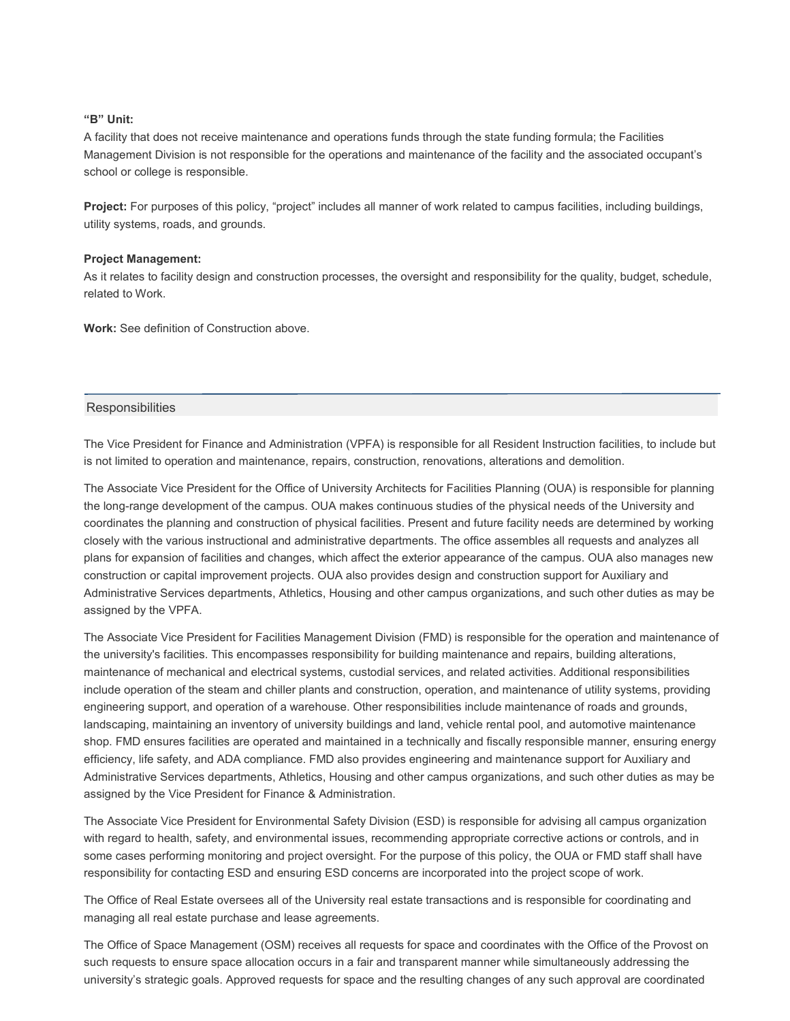### **"B" Unit:**

A facility that does not receive maintenance and operations funds through the state funding formula; the Facilities Management Division is not responsible for the operations and maintenance of the facility and the associated occupant's school or college is responsible.

**Project:** For purposes of this policy, "project" includes all manner of work related to campus facilities, including buildings, utility systems, roads, and grounds.

#### **Project Management:**

As it relates to facility design and construction processes, the oversight and responsibility for the quality, budget, schedule, related to Work.

**Work:** See definition of Construction above.

### **Responsibilities**

The Vice President for Finance and Administration (VPFA) is responsible for all Resident Instruction facilities, to include but is not limited to operation and maintenance, repairs, construction, renovations, alterations and demolition.

The Associate Vice President for the Office of University Architects for Facilities Planning (OUA) is responsible for planning the long-range development of the campus. OUA makes continuous studies of the physical needs of the University and coordinates the planning and construction of physical facilities. Present and future facility needs are determined by working closely with the various instructional and administrative departments. The office assembles all requests and analyzes all plans for expansion of facilities and changes, which affect the exterior appearance of the campus. OUA also manages new construction or capital improvement projects. OUA also provides design and construction support for Auxiliary and Administrative Services departments, Athletics, Housing and other campus organizations, and such other duties as may be assigned by the VPFA.

The Associate Vice President for Facilities Management Division (FMD) is responsible for the operation and maintenance of the university's facilities. This encompasses responsibility for building maintenance and repairs, building alterations, maintenance of mechanical and electrical systems, custodial services, and related activities. Additional responsibilities include operation of the steam and chiller plants and construction, operation, and maintenance of utility systems, providing engineering support, and operation of a warehouse. Other responsibilities include maintenance of roads and grounds, landscaping, maintaining an inventory of university buildings and land, vehicle rental pool, and automotive maintenance shop. FMD ensures facilities are operated and maintained in a technically and fiscally responsible manner, ensuring energy efficiency, life safety, and ADA compliance. FMD also provides engineering and maintenance support for Auxiliary and Administrative Services departments, Athletics, Housing and other campus organizations, and such other duties as may be assigned by the Vice President for Finance & Administration.

The Associate Vice President for Environmental Safety Division (ESD) is responsible for advising all campus organization with regard to health, safety, and environmental issues, recommending appropriate corrective actions or controls, and in some cases performing monitoring and project oversight. For the purpose of this policy, the OUA or FMD staff shall have responsibility for contacting ESD and ensuring ESD concerns are incorporated into the project scope of work.

The Office of Real Estate oversees all of the University real estate transactions and is responsible for coordinating and managing all real estate purchase and lease agreements.

The Office of Space Management (OSM) receives all requests for space and coordinates with the Office of the Provost on such requests to ensure space allocation occurs in a fair and transparent manner while simultaneously addressing the university's strategic goals. Approved requests for space and the resulting changes of any such approval are coordinated